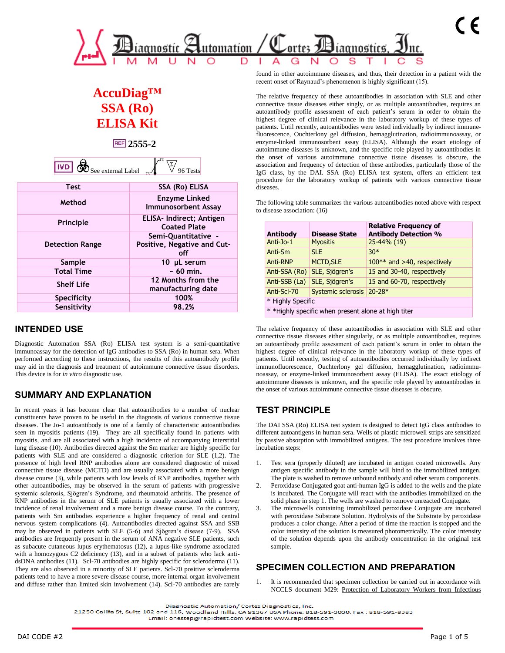

# **AccuDiag™ SSA (Ro) ELISA Kit**

**2555-2**

| - 6<br>ш<br>ee external Label مه |  |
|----------------------------------|--|
|                                  |  |

| <b>Test</b>            | SSA (Ro) ELISA                                            |
|------------------------|-----------------------------------------------------------|
| Method                 | <b>Enzyme Linked</b><br><b>Immunosorbent Assay</b>        |
| Principle              | ELISA- Indirect; Antigen<br><b>Coated Plate</b>           |
| <b>Detection Range</b> | Semi-Quantitative -<br>Positive, Negative and Cut-<br>off |
| Sample                 | 10 µL serum                                               |
| <b>Total Time</b>      | $\sim 60$ min.                                            |
| <b>Shelf Life</b>      | 12 Months from the<br>manufacturing date                  |
| <b>Specificity</b>     | 100%                                                      |
| Sensitivity            | 98.2%                                                     |

# **INTENDED USE**

Diagnostic Automation SSA (Ro) ELISA test system is a semi-quantitative immunoassay for the detection of IgG antibodies to SSA (Ro) in human sera. When performed according to these instructions, the results of this autoantibody profile may aid in the diagnosis and treatment of autoimmune connective tissue disorders. This device is for *in vitro* diagnostic use.

# **SUMMARY AND EXPLANATION**

In recent years it has become clear that autoantibodies to a number of nuclear constituents have proven to be useful in the diagnosis of various connective tissue diseases. The Jo-1 autoantibody is one of a family of characteristic autoantibodies seen in myositis patients (19). They are all specifically found in patients with myositis, and are all associated with a high incidence of accompanying interstitial lung disease (10). Antibodies directed against the Sm marker are highly specific for patients with SLE and are considered a diagnostic criterion for SLE (1,2). The presence of high level RNP antibodies alone are considered diagnostic of mixed connective tissue disease (MCTD) and are usually associated with a more benign disease course (3), while patients with low levels of RNP antibodies, together with other autoantibodies, may be observed in the serum of patients with progressive systemic sclerosis, Sjögren's Syndrome, and rheumatoid arthritis. The presence of RNP antibodies in the serum of SLE patients is usually associated with a lower incidence of renal involvement and a more benign disease course. To the contrary, patients with Sm antibodies experience a higher frequency of renal and central nervous system complications (4). Autoantibodies directed against SSA and SSB may be observed in patients with SLE (5-6) and Sjögren's disease (7-9). SSA antibodies are frequently present in the serum of ANA negative SLE patients, such as subacute cutaneous lupus erythematosus (12), a lupus-like syndrome associated with a homozygous C2 deficiency (13), and in a subset of patients who lack antidsDNA antibodies (11). Scl-70 antibodies are highly specific for scleroderma (11). They are also observed in a minority of SLE patients. Scl-70 positive scleroderma patients tend to have a more severe disease course, more internal organ involvement and diffuse rather than limited skin involvement (14). Scl-70 antibodies are rarely

found in other autoimmune diseases, and thus, their detection in a patient with the recent onset of Raynaud's phenomenon is highly significant (15).

The relative frequency of these autoantibodies in association with SLE and other connective tissue diseases either singly, or as multiple autoantibodies, requires an autoantibody profile assessment of each patient's serum in order to obtain the highest degree of clinical relevance in the laboratory workup of these types of patients. Until recently, autoantibodies were tested individually by indirect immunefluorescence, Ouchterlony gel diffusion, hemagglutination, radioimmunoassay, or enzyme-linked immunosorbent assay (ELISA). Although the exact etiology of autoimmune diseases is unknown, and the specific role played by autoantibodies in the onset of various autoimmune connective tissue diseases is obscure, the association and frequency of detection of these antibodies, particularly those of the IgG class, by the DAI. SSA (Ro) ELISA test system, offers an efficient test procedure for the laboratory workup of patients with various connective tissue diseases.

The following table summarizes the various autoantibodies noted above with respect to disease association: (16)

| Antibody                                            | <b>Disease State</b> | <b>Relative Frequency of</b><br><b>Antibody Detection %</b> |  |  |  |  |
|-----------------------------------------------------|----------------------|-------------------------------------------------------------|--|--|--|--|
| Anti-Jo-1                                           | <b>Myositis</b>      | 25-44% (19)                                                 |  |  |  |  |
| Anti-Sm                                             | SLE.                 | $30*$                                                       |  |  |  |  |
| Anti-RNP                                            | <b>MCTD, SLE</b>     | $100**$ and >40, respectively                               |  |  |  |  |
| Anti-SSA (Ro)                                       | SLE, Sjögren's       | 15 and 30-40, respectively                                  |  |  |  |  |
| Anti-SSB (La)                                       | SLE, Sjögren's       | 15 and 60-70, respectively                                  |  |  |  |  |
| Anti-Scl-70                                         | Systemic sclerosis   | $20-28*$                                                    |  |  |  |  |
| * Highly Specific                                   |                      |                                                             |  |  |  |  |
| * *Highly specific when present alone at high titer |                      |                                                             |  |  |  |  |

The relative frequency of these autoantibodies in association with SLE and other connective tissue diseases either singularly, or as multiple autoantibodies, requires an autoantibody profile assessment of each patient's serum in order to obtain the highest degree of clinical relevance in the laboratory workup of these types of patients. Until recently, testing of autoantibodies occurred individually by indirect immunofluorescence, Ouchterlony gel diffusion, hemagglutination, radioimmunoassay, or enzyme-linked immunosorbent assay (ELISA). The exact etiology of autoimmune diseases is unknown, and the specific role played by autoantibodies in the onset of various autoimmune connective tissue diseases is obscure.

# **TEST PRINCIPLE**

The DAI SSA (Ro) ELISA test system is designed to detect IgG class antibodies to different autoantigens in human sera. Wells of plastic microwell strips are sensitized by passive absorption with immobilized antigens. The test procedure involves three incubation steps:

- 1. Test sera (properly diluted) are incubated in antigen coated microwells. Any antigen specific antibody in the sample will bind to the immobilized antigen. The plate is washed to remove unbound antibody and other serum components.
- Peroxidase Conjugated goat anti-human IgG is added to the wells and the plate is incubated. The Conjugate will react with the antibodies immobilized on the solid phase in step 1. The wells are washed to remove unreacted Conjugate.
- 3. The microwells containing immobilized peroxidase Conjugate are incubated with peroxidase Substrate Solution. Hydrolysis of the Substrate by peroxidase produces a color change. After a period of time the reaction is stopped and the color intensity of the solution is measured photometrically. The color intensity of the solution depends upon the antibody concentration in the original test sample.

# **SPECIMEN COLLECTION AND PREPARATION**

It is recommended that specimen collection be carried out in accordance with NCCLS document M29: Protection of Laboratory Workers from Infectious

21250 Califa St, Suite 102 and 116, Woodland Hills, CA 91367 USA Phone: 818-591-3030, Fax: 818-591-8383

Diagnostic Automation/ Cortez Diagnostics Inc.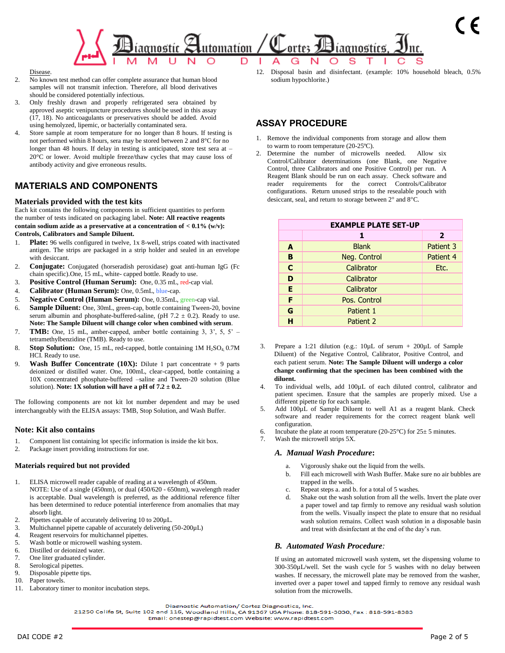

Disease.

- 2. No known test method can offer complete assurance that human blood samples will not transmit infection. Therefore, all blood derivatives should be considered potentially infectious.
- 3. Only freshly drawn and properly refrigerated sera obtained by approved aseptic venipuncture procedures should be used in this assay (17, 18). No anticoagulants or preservatives should be added. Avoid using hemolyzed, lipemic, or bacterially contaminated sera.
- Store sample at room temperature for no longer than 8 hours. If testing is not performed within 8 hours, sera may be stored between 2 and 8°C for no longer than 48 hours. If delay in testing is anticipated, store test sera at -20°C or lower. Avoid multiple freeze/thaw cycles that may cause loss of antibody activity and give erroneous results.

# **MATERIALS AND COMPONENTS**

## **Materials provided with the test kits**

Each kit contains the following components in sufficient quantities to perform the number of tests indicated on packaging label. **Note: All reactive reagents contain sodium azide as a preservative at a concentration of < 0.1% (w/v): Controls, Calibrators and Sample Diluent.** 

- 1. **Plate:** 96 wells configured in twelve, 1x 8-well, strips coated with inactivated antigen. The strips are packaged in a strip holder and sealed in an envelope with desiccant.
- 2. **Conjugate:** Conjugated (horseradish peroxidase) goat anti-human IgG (Fc chain specific).One, 15 mL, white- capped bottle. Ready to use.
- 3. **Positive Control (Human Serum):** One, 0.35 mL, red-cap vial.
- 4. **Calibrator (Human Serum):** One, 0.5mL, blue-cap.
- 5. **Negative Control (Human Serum):** One, 0.35mL, green-cap vial.
- 6. **Sample Diluent:** One, 30mL, green-cap, bottle containing Tween-20, bovine serum albumin and phosphate-buffered-saline, (pH  $7.2 \pm 0.2$ ). Ready to use. **Note: The Sample Diluent will change color when combined with serum**.
- 7. **TMB:** One, 15 mL, amber-capped, amber bottle containing 3, 3', 5, 5' tetramethylbenzidine (TMB). Ready to use.
- 8. **Stop Solution:** One, 15 mL, red-capped, bottle containing 1M H<sub>2</sub>SO<sub>4</sub>, 0.7M HCI. Ready to use.
- 9. **Wash Buffer Concentrate (10X):** Dilute 1 part concentrate + 9 parts deionized or distilled water. One, 100mL, clear-capped, bottle containing a 10X concentrated phosphate-buffered –saline and Tween-20 solution (Blue solution). **Note: 1X solution will have a pH of**  $7.2 \pm 0.2$ **.**

The following components are not kit lot number dependent and may be used interchangeably with the ELISA assays: TMB, Stop Solution, and Wash Buffer.

## **Note: Kit also contains**

- 1. Component list containing lot specific information is inside the kit box.
- 2. Package insert providing instructions for use.

### **Materials required but not provided**

- 1. ELISA microwell reader capable of reading at a wavelength of 450nm. NOTE: Use of a single (450nm), or dual (450/620 - 650nm), wavelength reader is acceptable. Dual wavelength is preferred, as the additional reference filter has been determined to reduce potential interference from anomalies that may absorb light.
- 2. Pipettes capable of accurately delivering 10 to 200µL.
- 3. Multichannel pipette capable of accurately delivering (50-200µL)
- 4. Reagent reservoirs for multichannel pipettes.<br>5. Wash hottle or microwell washing system
- Wash bottle or microwell washing system.
- 6. Distilled or deionized water.
- 7. One liter graduated cylinder.
- 8. Serological pipettes.
- 9. Disposable pipette tips.
- 10. Paper towels.
- 11. Laboratory timer to monitor incubation steps.

12. Disposal basin and disinfectant. (example: 10% household bleach, 0.5% sodium hypochlorite.)

# **ASSAY PROCEDURE**

- 1. Remove the individual components from storage and allow them to warm to room temperature (20-25ºC).
- 2. Determine the number of microwells needed. Allow six Control/Calibrator determinations (one Blank, one Negative Control, three Calibrators and one Positive Control) per run. A Reagent Blank should be run on each assay. Check software and reader requirements for the correct Controls/Calibrator configurations. Return unused strips to the resealable pouch with desiccant, seal, and return to storage between  $2^{\circ}$  and  $8^{\circ}$ C.

|    | <b>EXAMPLE PLATE SET-UP</b> |                |
|----|-----------------------------|----------------|
|    | 1                           | $\overline{2}$ |
| A  | <b>Blank</b>                | Patient 3      |
| B  | Neg. Control                | Patient 4      |
| C  | Calibrator                  | Etc.           |
| D  | Calibrator                  |                |
| E. | Calibrator                  |                |
| F  | Pos. Control                |                |
| G  | Patient 1                   |                |
| н  | Patient 2                   |                |

- Prepare a 1:21 dilution (e.g.:  $10\mu L$  of serum + 200 $\mu L$  of Sample Diluent) of the Negative Control, Calibrator, Positive Control, and each patient serum. **Note: The Sample Diluent will undergo a color change confirming that the specimen has been combined with the diluent.**
- 4. To individual wells, add 100µL of each diluted control, calibrator and patient specimen. Ensure that the samples are properly mixed. Use a different pipette tip for each sample.
- 5. Add  $100\mu L$  of Sample Diluent to well A1 as a reagent blank. Check software and reader requirements for the correct reagent blank well configuration.
- 6. Incubate the plate at room temperature (20-25°C) for  $25 \pm 5$  minutes.
- 7. Wash the microwell strips 5X.

### *A. Manual Wash Procedure***:**

- a. Vigorously shake out the liquid from the wells.
- b. Fill each microwell with Wash Buffer. Make sure no air bubbles are trapped in the wells.
- c. Repeat steps a. and b. for a total of 5 washes.
- d. Shake out the wash solution from all the wells. Invert the plate over a paper towel and tap firmly to remove any residual wash solution from the wells. Visually inspect the plate to ensure that no residual wash solution remains. Collect wash solution in a disposable basin and treat with disinfectant at the end of the day's run.

## *B. Automated Wash Procedure:*

If using an automated microwell wash system, set the dispensing volume to 300-350µL/well. Set the wash cycle for 5 washes with no delay between washes. If necessary, the microwell plate may be removed from the washer, inverted over a paper towel and tapped firmly to remove any residual wash solution from the microwells.

Diagnostic Automation/ Cortez Diagnostics Inc.

21250 Califa St, Suite 102 and 116, Woodland Hills, CA 91367 USA Phone: 818-591-3030, Fax: 818-591-8383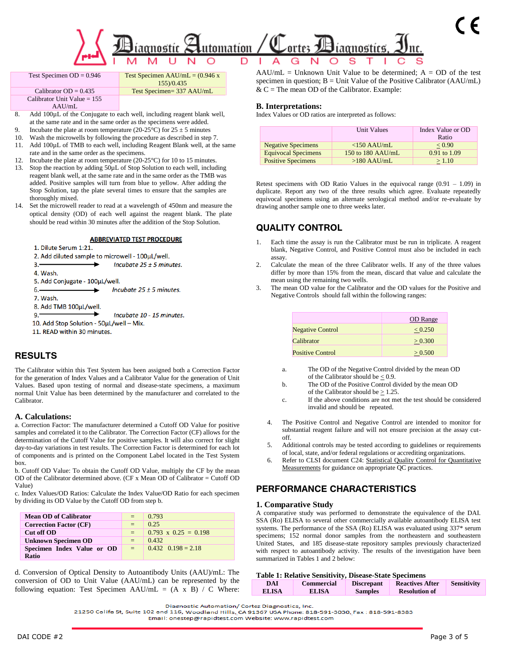

|    | Test Specimen $OD = 0.946$                                          | Test Specimen AAU/mL = $(0.946 x$                                      |  |  |  |  |  |
|----|---------------------------------------------------------------------|------------------------------------------------------------------------|--|--|--|--|--|
|    |                                                                     | 155)/0.435                                                             |  |  |  |  |  |
|    | Calibrator $OD = 0.435$                                             | Test Specimen= 337 AAU/mL                                              |  |  |  |  |  |
|    | Calibrator Unit Value $= 155$                                       |                                                                        |  |  |  |  |  |
|    | AAU/ml.                                                             |                                                                        |  |  |  |  |  |
| 8. |                                                                     | Add 100µL of the Conjugate to each well, including reagent blank well, |  |  |  |  |  |
|    | at the same rate and in the same order as the specimens were added. |                                                                        |  |  |  |  |  |

- Incubate the plate at room temperature (20-25°C) for  $25 \pm 5$  minutes
- 10. Wash the microwells by following the procedure as described in step 7. 11. Add 100µL of TMB to each well, including Reagent Blank well, at the same rate and in the same order as the specimens.

12. Incubate the plate at room temperature (20-25°C) for 10 to 15 minutes.

- 13. Stop the reaction by adding 50µL of Stop Solution to each well, including reagent blank well, at the same rate and in the same order as the TMB was added. Positive samples will turn from blue to yellow. After adding the Stop Solution, tap the plate several times to ensure that the samples are thoroughly mixed.
- 14. Set the microwell reader to read at a wavelength of 450nm and measure the optical density (OD) of each well against the reagent blank. The plate should be read within 30 minutes after the addition of the Stop Solution.

#### **ABBREVIATED TEST PROCEDURE**



## **RESULTS**

The Calibrator within this Test System has been assigned both a Correction Factor for the generation of Index Values and a Calibrator Value for the generation of Unit Values. Based upon testing of normal and disease-state specimens, a maximum normal Unit Value has been determined by the manufacturer and correlated to the Calibrator.

#### **A. Calculations:**

a. Correction Factor: The manufacturer determined a Cutoff OD Value for positive samples and correlated it to the Calibrator. The Correction Factor (CF) allows for the determination of the Cutoff Value for positive samples. It will also correct for slight day-to-day variations in test results. The Correction Factor is determined for each lot of components and is printed on the Component Label located in the Test System box.

b. Cutoff OD Value: To obtain the Cutoff OD Value, multiply the CF by the mean OD of the Calibrator determined above. (CF x Mean OD of Calibrator = Cutoff OD Value)

c. Index Values/OD Ratios: Calculate the Index Value/OD Ratio for each specimen by dividing its OD Value by the Cutoff OD from step b.

| <b>Mean OD of Calibrator</b>  | $=$                | 0.793                       |
|-------------------------------|--------------------|-----------------------------|
| <b>Correction Factor (CF)</b> | $=$                | 0.25                        |
| Cut off OD                    | $=$                | $0.793 \times 0.25 = 0.198$ |
| <b>Unknown Specimen OD</b>    | $=$                | 0.432                       |
| Specimen Index Value or OD    | $=$ $\overline{ }$ | $0.432 \quad 0.198 = 2.18$  |
| <b>Ratio</b>                  |                    |                             |

d. Conversion of Optical Density to Autoantibody Units (AAU)/mL: The conversion of OD to Unit Value (AAU/mL) can be represented by the following equation: Test Specimen AAU/mL =  $(A \times B) / C$  Where:  $AAU/mL = Unknown Unit Value to be determined; A = OD of the test$ specimen in question;  $B =$  Unit Value of the Positive Calibrator (AAU/mL)  $& C =$  The mean OD of the Calibrator. Example:

#### **B. Interpretations:**

Index Values or OD ratios are interpreted as follows:

|                            | Unit Values         | Index Value or OD<br>Ratio |
|----------------------------|---------------------|----------------------------|
| <b>Negative Specimens</b>  | $<$ 150 AAU/mL      | < 0.90                     |
| <b>Equivocal Specimens</b> | 150 to 180 $AAU/mL$ | $0.91$ to $1.09$           |
| <b>Positive Specimens</b>  | $>180$ AAU/mL       | >1.10                      |

Retest specimens with OD Ratio Values in the equivocal range  $(0.91 - 1.09)$  in duplicate. Report any two of the three results which agree. Evaluate repeatedly equivocal specimens using an alternate serological method and/or re-evaluate by drawing another sample one to three weeks later.

## **QUALITY CONTROL**

- Each time the assay is run the Calibrator must be run in triplicate. A reagent blank, Negative Control, and Positive Control must also be included in each assay.
- 2. Calculate the mean of the three Calibrator wells. If any of the three values differ by more than 15% from the mean, discard that value and calculate the mean using the remaining two wells.
- 3. The mean OD value for the Calibrator and the OD values for the Positive and Negative Controls should fall within the following ranges:

|                         | OD Range |
|-------------------------|----------|
| <b>Negative Control</b> | < 0.250  |
| Calibrator              | > 0.300  |
| <b>Positive Control</b> | > 0.500  |

- a. The OD of the Negative Control divided by the mean OD of the Calibrator should be < 0.9.
- b. The OD of the Positive Control divided by the mean OD of the Calibrator should be > 1.25.
- c. If the above conditions are not met the test should be considered invalid and should be repeated.
- 4. The Positive Control and Negative Control are intended to monitor for substantial reagent failure and will not ensure precision at the assay cutoff.
- 5. Additional controls may be tested according to guidelines or requirements of local, state, and/or federal regulations or accrediting organizations.
- 6. Refer to CLSI document C24: Statistical Quality Control for Quantitative Measurements for guidance on appropriate QC practices.

## **PERFORMANCE CHARACTERISTICS**

#### **1. Comparative Study**

A comparative study was performed to demonstrate the equivalence of the DAI. SSA (Ro) ELISA to several other commercially available autoantibody ELISA test systems. The performance of the SSA (Ro) ELISA was evaluated using 337\* serum specimens; 152 normal donor samples from the northeastern and southeastern United States, and 185 disease-state repository samples previously characterized with respect to autoantibody activity. The results of the investigation have been summarized in Tables 1 and 2 below:

### **Table 1: Relative Sensitivity, Disease-State Specimens**

| DAI          | <b>Commercial</b> | <b>Discrepant</b> | <b>Reactives After</b> | Sensitivity |
|--------------|-------------------|-------------------|------------------------|-------------|
| <b>ELISA</b> | <b>ELISA</b>      | <b>Samples</b>    | <b>Resolution of</b>   |             |

Diagnostic Automation/ Cortez Diagnostics, Inc.

21250 Califa St, Suite 102 and 116, Woodland Hills, CA 91367 USA Phone: 818-591-3030, Fax: 818-591-8383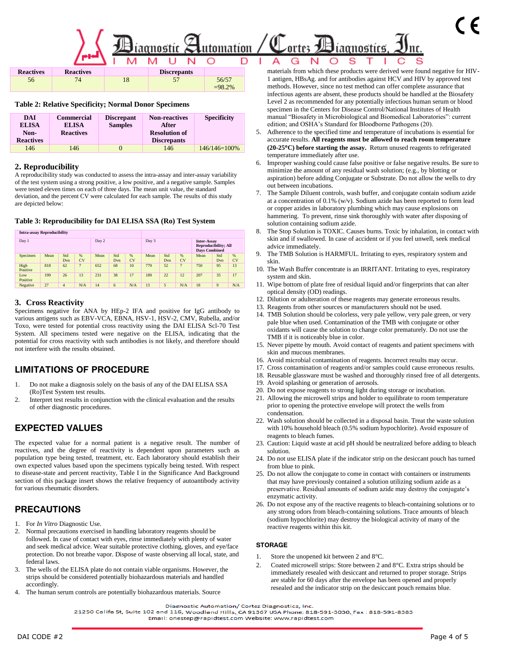# $\mathcal{H}_{\text{iaquot}}$  Automation / C ortes  $\textcolor{red}{\mathbf{\mathcal{D}}}$ iagnostics

| <b>Reactives</b> | <b>Reactives</b> | <b>Discrepants</b> |           |
|------------------|------------------|--------------------|-----------|
| 56               |                  |                    | 56/57     |
|                  |                  |                    | $-98.2\%$ |

#### **Table 2: Relative Specificity; Normal Donor Specimens**

| <b>DAI</b><br><b>ELISA</b><br>Non-<br><b>Reactives</b> | <b>Commercial</b><br><b>ELISA</b><br><b>Reactives</b> | <b>Discrepant</b><br><b>Samples</b> | <b>Non-reactives</b><br>After<br><b>Resolution of</b><br><b>Discrepants</b> | <b>Specificity</b> |
|--------------------------------------------------------|-------------------------------------------------------|-------------------------------------|-----------------------------------------------------------------------------|--------------------|
| 146                                                    | 146                                                   |                                     | 146                                                                         | 146/146=100%       |

### **2. Reproducibility**

A reproducibility study was conducted to assess the intra-assay and inter-assay variability of the test system using a strong positive, a low positive, and a negative sample. Samples were tested eleven times on each of three days. The mean unit value, the standard deviation, and the percent CV were calculated for each sample. The results of this study are depicted below:

#### **Table 3: Reproducibility for DAI ELISA SSA (Ro) Test System**

**Intra-assay Reproducibility** 

| $\ldots$ . $\ldots$ $\ldots$ $\ldots$ $\ldots$ $\ldots$ |      |            |         |       |            |                                                                           |      |            |         |      |            |                |
|---------------------------------------------------------|------|------------|---------|-------|------------|---------------------------------------------------------------------------|------|------------|---------|------|------------|----------------|
| Day 1                                                   |      | Day 2      |         | Day 3 |            | <b>Inter-Assay</b><br><b>Reproducibility; All</b><br><b>Days Combined</b> |      |            |         |      |            |                |
| Specimen                                                | Mean | Std<br>Dvn | %<br>CV | Mean  | Std<br>Dvn | $\%$<br>CV                                                                | Mean | Std<br>Dvn | %<br>CV | Mean | Std<br>Dvn | %<br><b>CV</b> |
| High<br>Positive                                        | 818  | 62         |         | 652   | 68         | 10                                                                        | 779  | 52         |         | 750  | 95         | 13             |
| Low<br>Positive                                         | 199  | 26         | 13      | 231   | 38         | 17                                                                        | 189  | 22         | 12      | 207  | 35         | 17             |
| Negative                                                | 27   | 4          | N/A     | 14    | 6          | N/A                                                                       | 13   | 5          | N/A     | 18   | 9          | N/A            |

#### **3. Cross Reactivity**

Specimens negative for ANA by HEp-2 IFA and positive for IgG antibody to various antigens such as EBV-VCA, EBNA, HSV-1, HSV-2, CMV, Rubella, and/or Toxo, were tested for potential cross reactivity using the DAI ELISA Scl-70 Test System. All specimens tested were negative on the ELISA, indicating that the potential for cross reactivity with such antibodies is not likely, and therefore should not interfere with the results obtained.

## **LIMITATIONS OF PROCEDURE**

- 1. Do not make a diagnosis solely on the basis of any of the DAI ELISA SSA (Ro)Test System test results.
- 2. Interpret test results in conjunction with the clinical evaluation and the results of other diagnostic procedures.

## **EXPECTED VALUES**

The expected value for a normal patient is a negative result. The number of reactives, and the degree of reactivity is dependent upon parameters such as population type being tested, treatment, etc. Each laboratory should establish their own expected values based upon the specimens typically being tested. With respect to disease-state and percent reactivity, Table I in the Significance And Background section of this package insert shows the relative frequency of autoantibody activity for various rheumatic disorders.

## **PRECAUTIONS**

- 1. For *In Vitro* Diagnostic Use.
- 2. Normal precautions exercised in handling laboratory reagents should be followed. In case of contact with eyes, rinse immediately with plenty of water and seek medical advice. Wear suitable protective clothing, gloves, and eye/face protection. Do not breathe vapor. Dispose of waste observing all local, state, and federal laws.
- 3. The wells of the ELISA plate do not contain viable organisms. However, the strips should be considered potentially biohazardous materials and handled accordingly.
- 4. The human serum controls are potentially biohazardous materials. Source

materials from which these products were derived were found negative for HIV-1 antigen, HBsAg. and for antibodies against HCV and HIV by approved test methods. However, since no test method can offer complete assurance that infectious agents are absent, these products should be handled at the Biosafety Level 2 as recommended for any potentially infectious human serum or blood specimen in the Centers for Disease Control/National Institutes of Health manual "Biosafety in Microbiological and Biomedical Laboratories": current edition; and OSHA's Standard for Bloodborne Pathogens (20).

- 5. Adherence to the specified time and temperature of incubations is essential for accurate results. **All reagents must be allowed to reach room temperature (20-25C) before starting the assay.** Return unused reagents to refrigerated temperature immediately after use.
- 6. Improper washing could cause false positive or false negative results. Be sure to minimize the amount of any residual wash solution; (e.g., by blotting or aspiration) before adding Conjugate or Substrate. Do not allow the wells to dry out between incubations.
- 7. The Sample Diluent controls, wash buffer, and conjugate contain sodium azide at a concentration of 0.1% (w/v). Sodium azide has been reported to form lead or copper azides in laboratory plumbing which may cause explosions on hammering. To prevent, rinse sink thoroughly with water after disposing of solution containing sodium azide.
- 8. The Stop Solution is TOXIC. Causes burns. Toxic by inhalation, in contact with skin and if swallowed. In case of accident or if you feel unwell, seek medical advice immediately.
- 9. The TMB Solution is HARMFUL. Irritating to eyes, respiratory system and skin.
- 10. The Wash Buffer concentrate is an IRRITANT. Irritating to eyes, respiratory system and skin.
- 11. Wipe bottom of plate free of residual liquid and/or fingerprints that can alter optical density (OD) readings.
- 12. Dilution or adulteration of these reagents may generate erroneous results.
- 13. Reagents from other sources or manufacturers should not be used.
- 14. TMB Solution should be colorless, very pale yellow, very pale green, or very pale blue when used. Contamination of the TMB with conjugate or other oxidants will cause the solution to change color prematurely. Do not use the TMB if it is noticeably blue in color.
- 15. Never pipette by mouth. Avoid contact of reagents and patient specimens with skin and mucous membranes.
- 16. Avoid microbial contamination of reagents. Incorrect results may occur.
- 17. Cross contamination of reagents and/or samples could cause erroneous results.
- 18. Reusable glassware must be washed and thoroughly rinsed free of all detergents.
- 19. Avoid splashing or generation of aerosols.
- 20. Do not expose reagents to strong light during storage or incubation.
- 21. Allowing the microwell strips and holder to equilibrate to room temperature prior to opening the protective envelope will protect the wells from condensation.
- 22. Wash solution should be collected in a disposal basin. Treat the waste solution with 10% household bleach (0.5% sodium hypochlorite). Avoid exposure of reagents to bleach fumes.
- 23. Caution: Liquid waste at acid pH should be neutralized before adding to bleach solution.
- 24. Do not use ELISA plate if the indicator strip on the desiccant pouch has turned from blue to pink.
- 25. Do not allow the conjugate to come in contact with containers or instruments that may have previously contained a solution utilizing sodium azide as a preservative. Residual amounts of sodium azide may destroy the conjugate's enzymatic activity.
- 26. Do not expose any of the reactive reagents to bleach-containing solutions or to any strong odors from bleach-containing solutions. Trace amounts of bleach (sodium hypochlorite) may destroy the biological activity of many of the reactive reagents within this kit.

#### **STORAGE**

- 1. Store the unopened kit between 2 and 8°C.
- 2. Coated microwell strips: Store between 2 and 8°C. Extra strips should be immediately resealed with desiccant and returned to proper storage. Strips are stable for 60 days after the envelope has been opened and properly resealed and the indicator strip on the desiccant pouch remains blue.

21250 Califa St, Suite 102 and 116, Woodland Hills, CA 91367 USA Phone: 818-591-3030, Fax: 818-591-8383

Diagnostic Automation/ Cortez Diagnostics, Inc.